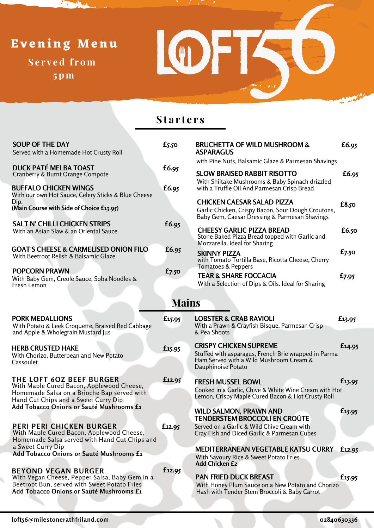# **S e r v e d f r om Ev ening Menu**

 $\mathcal{F}_{\mathcal{F}}$ 

**5pm**



### **S t a r t e r s**

| <b>SOUP OF THE DAY</b><br>Served with a Homemade Hot Crusty Roll                         | $f_{5.50}$ | <b>BRUCHETTA OF WILD MUSHROOM &amp;</b><br><b>ASPARAGUS</b>                                                                              | £6.95      |  |  |  |
|------------------------------------------------------------------------------------------|------------|------------------------------------------------------------------------------------------------------------------------------------------|------------|--|--|--|
|                                                                                          |            | with Pine Nuts, Balsamic Glaze & Parmesan Shavings                                                                                       |            |  |  |  |
| <b>DUCK PATÉ MELBA TOAST</b>                                                             | £6.95      |                                                                                                                                          |            |  |  |  |
| Cranberry & Burnt Orange Compote                                                         |            | <b>SLOW BRAISED RABBIT RISOTTO</b>                                                                                                       | £6.95      |  |  |  |
| <b>BUFFALO CHICKEN WINGS</b><br>With our own Hot Sauce, Celery Sticks & Blue Cheese      | £6.95      | With Shiitake Mushrooms & Baby Spinach drizzled<br>with a Truffle Oil And Parmesan Crisp Bread                                           |            |  |  |  |
| Dip.<br>(Main Course with Side of Choice £13.95)                                         |            | <b>CHICKEN CAESAR SALAD PIZZA</b><br>Garlic Chicken, Crispy Bacon, Sour Dough Croutons,<br>Baby Gem, Caesar Dressing & Parmesan Shavings | £8.50      |  |  |  |
| <b>SALT N' CHILLI CHICKEN STRIPS</b>                                                     | £6.95      |                                                                                                                                          |            |  |  |  |
| With an Asian Slaw & an Oriental Sauce                                                   |            | <b>CHEESY GARLIC PIZZA BREAD</b><br>Stone Baked Pizza Bread topped with Garlic and<br>Mozzarella. Ideal for Sharing                      | £6.50      |  |  |  |
| <b>GOAT'S CHEESE &amp; CARMELISED ONION FILO</b>                                         | £6.95      |                                                                                                                                          | $f_{7.50}$ |  |  |  |
| With Beetroot Relish & Balsamic Glaze                                                    |            | <b>SKINNY PIZZA</b><br>with Tomato Tortilla Base, Ricotta Cheese, Cherry<br>Tomatoes & Peppers                                           |            |  |  |  |
| <b>POPCORN PRAWN</b><br>With Baby Gem, Creole Sauce, Soba Noodles &<br>Fresh Lemon       | $f_{7.50}$ | <b>TEAR &amp; SHARE FOCCACIA</b><br>With a Selection of Dips & Oils. Ideal for Sharing                                                   | £7.95      |  |  |  |
|                                                                                          |            |                                                                                                                                          |            |  |  |  |
| <b>Mains</b>                                                                             |            |                                                                                                                                          |            |  |  |  |
| <b>PORK MEDALLIONS</b>                                                                   | £15.95     | <b>LOBSTER &amp; CRAB RAVIOLI</b>                                                                                                        | £13.95     |  |  |  |
| With Potato & Leek Croquette, Braised Red Cabbage<br>and Apple & Wholegrain Mustard Jus  |            | With a Prawn & Crayfish Bisque, Parmesan Crisp<br>& Pea Shoots                                                                           |            |  |  |  |
| <b>HERB CRUSTED HAKE</b>                                                                 | £15.95     | <b>CRISPY CHICKEN SUPREME</b>                                                                                                            | £14.95     |  |  |  |
| With Chorizo, Butterbean and New Potato<br>Cassoulet                                     |            | Stuffed with asparagus, French Brie wrapped in Parma<br>Ham Served with a Wild Mushroom Cream &<br>Dauphinoise Potato                    |            |  |  |  |
| THE LOFT 60Z BEEF BURGER                                                                 | £12.95     | <b>FRESH MUSSEL BOWL</b>                                                                                                                 | £13.95     |  |  |  |
| With Maple Cured Bacon, Applewood Cheese,                                                |            | Cooked in a Garlic, Chive & White Wine Cream with Hot                                                                                    |            |  |  |  |
| Homemade Salsa on a Brioche Bap served with<br>Hand Cut Chips and a Sweet Curry Dip      |            | Lemon, Crispy Maple Cured Bacon & Hot Crusty Roll                                                                                        |            |  |  |  |
| Add Tobacco Onions or Sauté Mushrooms £1                                                 |            | <b>WILD SALMON, PRAWN AND</b><br>TENDERSTEM BROCCOLI EN CROÛTE                                                                           | £15.95     |  |  |  |
| <b>PERI PERI CHICKEN BURGER</b><br>With Maple Cured Bacon, Applewood Cheese,             | £12.95     | Served on a Garlic & Wild Chive Cream with<br>Cray Fish and Diced Garlic & Parmesan Cubes                                                |            |  |  |  |
| Homemade Salsa served with Hand Cut Chips and                                            |            |                                                                                                                                          |            |  |  |  |
| a Sweet Curry Dip<br>Add Tobacco Onions or Sauté Mushrooms £1                            |            | MEDITERRANEAN VEGETABLE KATSU CURRY                                                                                                      | £12.95     |  |  |  |
|                                                                                          |            | With Savoury Rice & Sweet Potato Fries<br>Add Chicken £2                                                                                 |            |  |  |  |
|                                                                                          |            |                                                                                                                                          |            |  |  |  |
| <b>BEYOND VEGAN BURGER</b>                                                               | £12.95     |                                                                                                                                          |            |  |  |  |
| With Vegan Cheese, Pepper Salsa, Baby Gem in a                                           |            | <b>PAN FRIED DUCK BREAST</b>                                                                                                             | £15.95     |  |  |  |
| Beetroot Bun, served with Sweet Potato Fries<br>Add Tobacco Onions or Sauté Mushrooms £1 |            | With Honey Plum Sauce on a New Potato and Chorizo<br>Hash with Tender Stem Broccoli & Baby Carrot                                        |            |  |  |  |

i,